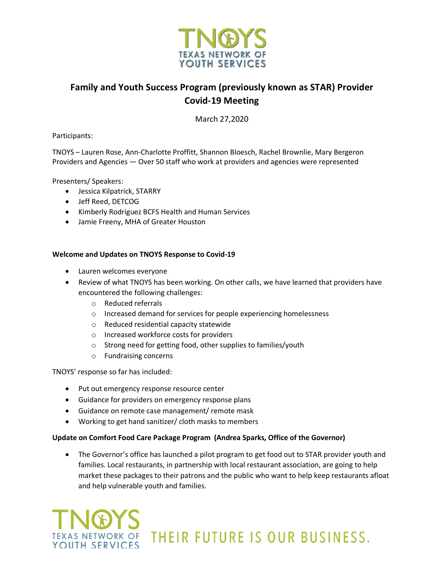

### **Family and Youth Success Program (previously known as STAR) Provider Covid-19 Meeting**

March 27,2020

Participants:

TNOYS – Lauren Rose, Ann-Charlotte Proffitt, Shannon Bloesch, Rachel Brownlie, Mary Bergeron Providers and Agencies — Over 50 staff who work at providers and agencies were represented

Presenters/ Speakers:

- Jessica Kilpatrick, STARRY
- Jeff Reed, DETCOG
- Kimberly Rodriguez BCFS Health and Human Services
- Jamie Freeny, MHA of Greater Houston

#### **Welcome and Updates on TNOYS Response to Covid-19**

- Lauren welcomes everyone
- Review of what TNOYS has been working. On other calls, we have learned that providers have encountered the following challenges:
	- o Reduced referrals
	- o Increased demand for services for people experiencing homelessness
	- o Reduced residential capacity statewide
	- o Increased workforce costs for providers
	- o Strong need for getting food, other supplies to families/youth
	- o Fundraising concerns

TNOYS' response so far has included:

- Put out emergency response resource center
- Guidance for providers on emergency response plans
- Guidance on remote case management/ remote mask
- Working to get hand sanitizer/ cloth masks to members

### **Update on Comfort Food Care Package Program (Andrea Sparks, Office of the Governor)**

• The Governor's office has launched a pilot program to get food out to STAR provider youth and families. Local restaurants, in partnership with local restaurant association, are going to help market these packages to their patrons and the public who want to help keep restaurants afloat and help vulnerable youth and families.

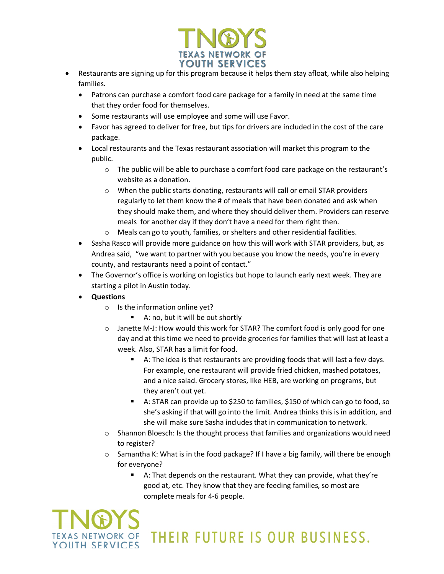

- Restaurants are signing up for this program because it helps them stay afloat, while also helping families.
	- Patrons can purchase a comfort food care package for a family in need at the same time that they order food for themselves.
	- Some restaurants will use employee and some will use Favor.
	- Favor has agreed to deliver for free, but tips for drivers are included in the cost of the care package.
	- Local restaurants and the Texas restaurant association will market this program to the public.
		- o The public will be able to purchase a comfort food care package on the restaurant's website as a donation.
		- o When the public starts donating, restaurants will call or email STAR providers regularly to let them know the # of meals that have been donated and ask when they should make them, and where they should deliver them. Providers can reserve meals for another day if they don't have a need for them right then.
		- o Meals can go to youth, families, or shelters and other residential facilities.
	- Sasha Rasco will provide more guidance on how this will work with STAR providers, but, as Andrea said, "we want to partner with you because you know the needs, you're in every county, and restaurants need a point of contact."
	- The Governor's office is working on logistics but hope to launch early next week. They are starting a pilot in Austin today.
	- **Questions**
		- $\circ$  Is the information online yet?
			- A: no, but it will be out shortly
		- $\circ$  Janette M-J: How would this work for STAR? The comfort food is only good for one day and at this time we need to provide groceries for families that will last at least a week. Also, STAR has a limit for food.
			- § A: The idea is that restaurants are providing foods that will last a few days. For example, one restaurant will provide fried chicken, mashed potatoes, and a nice salad. Grocery stores, like HEB, are working on programs, but they aren't out yet.
			- A: STAR can provide up to \$250 to families, \$150 of which can go to food, so she's asking if that will go into the limit. Andrea thinks this is in addition, and she will make sure Sasha includes that in communication to network.
		- o Shannon Bloesch: Is the thought process that families and organizations would need to register?
		- $\circ$  Samantha K: What is in the food package? If I have a big family, will there be enough for everyone?
			- A: That depends on the restaurant. What they can provide, what they're good at, etc. They know that they are feeding families, so most are complete meals for 4-6 people.

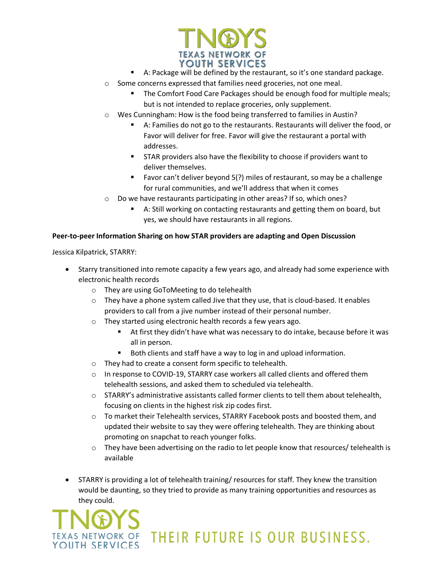

- A: Package will be defined by the restaurant, so it's one standard package.
- o Some concerns expressed that families need groceries, not one meal.
	- The Comfort Food Care Packages should be enough food for multiple meals; but is not intended to replace groceries, only supplement.
- o Wes Cunningham: How is the food being transferred to families in Austin?
	- § A: Families do not go to the restaurants. Restaurants will deliver the food, or Favor will deliver for free. Favor will give the restaurant a portal with addresses.
	- § STAR providers also have the flexibility to choose if providers want to deliver themselves.
	- Favor can't deliver beyond 5(?) miles of restaurant, so may be a challenge for rural communities, and we'll address that when it comes
- o Do we have restaurants participating in other areas? If so, which ones?
	- A: Still working on contacting restaurants and getting them on board, but yes, we should have restaurants in all regions.

### **Peer-to-peer Information Sharing on how STAR providers are adapting and Open Discussion**

Jessica Kilpatrick, STARRY:

- Starry transitioned into remote capacity a few years ago, and already had some experience with electronic health records
	- o They are using GoToMeeting to do telehealth
	- $\circ$  They have a phone system called Jive that they use, that is cloud-based. It enables providers to call from a jive number instead of their personal number.
	- o They started using electronic health records a few years ago.
		- § At first they didn't have what was necessary to do intake, because before it was all in person.
		- Both clients and staff have a way to log in and upload information.
	- o They had to create a consent form specific to telehealth.
	- $\circ$  In response to COVID-19, STARRY case workers all called clients and offered them telehealth sessions, and asked them to scheduled via telehealth.
	- $\circ$  STARRY's administrative assistants called former clients to tell them about telehealth, focusing on clients in the highest risk zip codes first.
	- $\circ$  To market their Telehealth services, STARRY Facebook posts and boosted them, and updated their website to say they were offering telehealth. They are thinking about promoting on snapchat to reach younger folks.
	- $\circ$  They have been advertising on the radio to let people know that resources/ telehealth is available
- STARRY is providing a lot of telehealth training/ resources for staff. They knew the transition would be daunting, so they tried to provide as many training opportunities and resources as they could.



THEIR FUTURE IS OUR BUSINESS.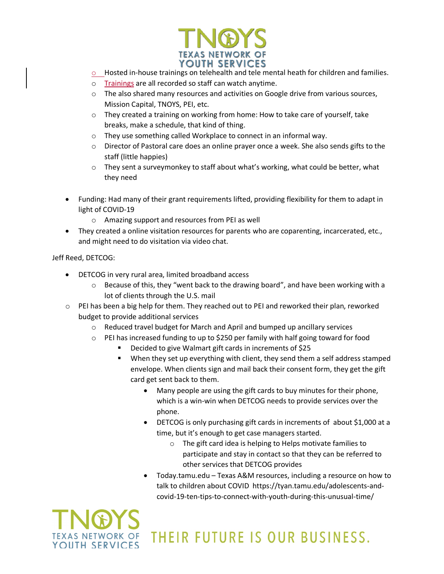

- o Hosted in-house trainings on telehealth and tele mental heath for children and families.
- o Trainings are all recorded so staff can watch anytime.
- $\circ$  The also shared many resources and activities on Google drive from various sources, Mission Capital, TNOYS, PEI, etc.
- $\circ$  They created a training on working from home: How to take care of yourself, take breaks, make a schedule, that kind of thing.
- o They use something called Workplace to connect in an informal way.
- o Director of Pastoral care does an online prayer once a week. She also sends gifts to the staff (little happies)
- $\circ$  They sent a surveymonkey to staff about what's working, what could be better, what they need
- Funding: Had many of their grant requirements lifted, providing flexibility for them to adapt in light of COVID-19
	- o Amazing support and resources from PEI as well
- They created a online visitation resources for parents who are coparenting, incarcerated, etc., and might need to do visitation via video chat.

Jeff Reed, DETCOG:

- DETCOG in very rural area, limited broadband access
	- $\circ$  Because of this, they "went back to the drawing board", and have been working with a lot of clients through the U.S. mail
- o PEI has been a big help for them. They reached out to PEI and reworked their plan, reworked budget to provide additional services
	- o Reduced travel budget for March and April and bumped up ancillary services
	- $\circ$  PEI has increased funding to up to \$250 per family with half going toward for food
		- § Decided to give Walmart gift cards in increments of \$25
		- When they set up everything with client, they send them a self address stamped envelope. When clients sign and mail back their consent form, they get the gift card get sent back to them.
			- Many people are using the gift cards to buy minutes for their phone, which is a win-win when DETCOG needs to provide services over the phone.
			- DETCOG is only purchasing gift cards in increments of about \$1,000 at a time, but it's enough to get case managers started.
				- o The gift card idea is helping to Helps motivate families to participate and stay in contact so that they can be referred to other services that DETCOG provides
			- Today.tamu.edu Texas A&M resources, including a resource on how to talk to children about COVID https://tyan.tamu.edu/adolescents-andcovid-19-ten-tips-to-connect-with-youth-during-this-unusual-time/

# KAS NETWORK OF YOUTH SERVICES

## THEIR FUTURE IS OUR BUSINESS.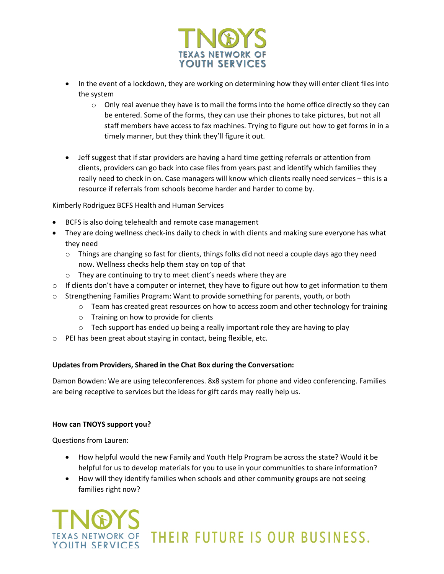

- In the event of a lockdown, they are working on determining how they will enter client files into the system
	- $\circ$  Only real avenue they have is to mail the forms into the home office directly so they can be entered. Some of the forms, they can use their phones to take pictures, but not all staff members have access to fax machines. Trying to figure out how to get forms in in a timely manner, but they think they'll figure it out.
- Jeff suggest that if star providers are having a hard time getting referrals or attention from clients, providers can go back into case files from years past and identify which families they really need to check in on. Case managers will know which clients really need services – this is a resource if referrals from schools become harder and harder to come by.

Kimberly Rodriguez BCFS Health and Human Services

- BCFS is also doing telehealth and remote case management
- They are doing wellness check-ins daily to check in with clients and making sure everyone has what they need
	- $\circ$  Things are changing so fast for clients, things folks did not need a couple days ago they need now. Wellness checks help them stay on top of that
	- o They are continuing to try to meet client's needs where they are
- $\circ$  If clients don't have a computer or internet, they have to figure out how to get information to them
- o Strengthening Families Program: Want to provide something for parents, youth, or both
	- $\circ$  Team has created great resources on how to access zoom and other technology for training
	- o Training on how to provide for clients
	- o Tech support has ended up being a really important role they are having to play
- o PEI has been great about staying in contact, being flexible, etc.

### **Updates from Providers, Shared in the Chat Box during the Conversation:**

Damon Bowden: We are using teleconferences. 8x8 system for phone and video conferencing. Families are being receptive to services but the ideas for gift cards may really help us.

### **How can TNOYS support you?**

Questions from Lauren:

- How helpful would the new Family and Youth Help Program be across the state? Would it be helpful for us to develop materials for you to use in your communities to share information?
- How will they identify families when schools and other community groups are not seeing families right now?